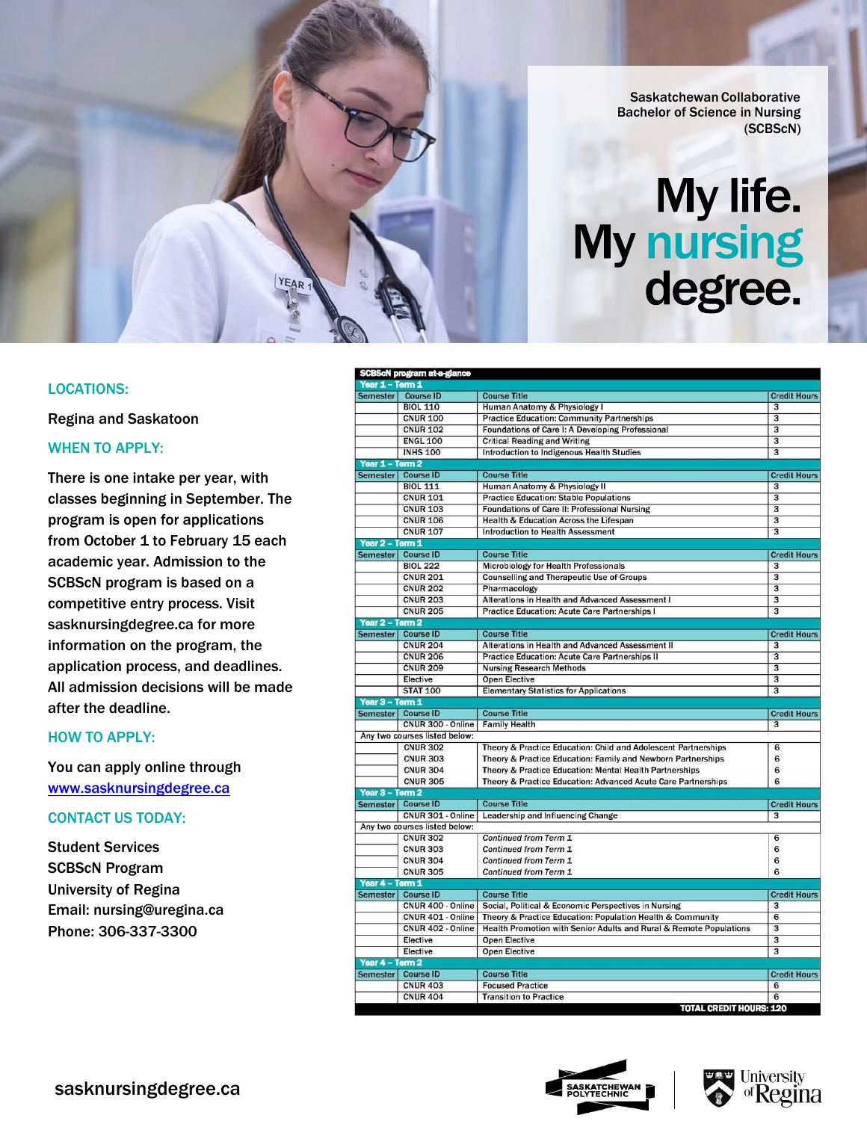Saskatchewan Collaborative Bachelor of Science in Nursing (SCBScN)

# My life.<br>My nursing degree.

## LOCATIONS:

Regina and Saskatoon

## WHEN TO APPLY:

There is one intake per year, with classes beginning in September. The program is open for applications from October 1 to February 15 each academic year. Admission to the SCBScN program is based on a competitive entry process. Visit sasknursingdegree.ca for more information on the program, the application process, and deadlines. All admission decisions will be made after the deadline.

YEAR

#### HOW TO APPLY:

You can apply online through [www.sasknursingdegree.ca](http://www.sasknursingdegree.ca/)

# CONTACT US TODAY:

Student Services SCBScN Program University of Regina Email: [nursing@uregina.ca](mailto:nursing@uregina.ca) Phone: 306-337-3300

|                                                                                     | SCBScN program at-a-glance |                                                                    |                                      |
|-------------------------------------------------------------------------------------|----------------------------|--------------------------------------------------------------------|--------------------------------------|
| Year 1 - Term 1                                                                     |                            |                                                                    |                                      |
| <b>Semester</b>                                                                     | <b>Course ID</b>           | <b>Course Title</b>                                                | <b>Credit Hours</b>                  |
|                                                                                     | <b>BIOL 110</b>            | Human Anatomy & Physiology I                                       | $\overline{\mathbf{3}}$              |
|                                                                                     | <b>CNUR 100</b>            | <b>Practice Education: Community Partnerships</b>                  | $\overline{\mathbf{3}}$              |
|                                                                                     | <b>CNUR 102</b>            | Foundations of Care I: A Developing Professional                   | $\overline{3}$                       |
|                                                                                     | <b>ENGL 100</b>            | <b>Critical Reading and Writing</b>                                | $\overline{\mathbf{3}}$              |
|                                                                                     | <b>INHS 100</b>            | <b>Introduction to Indigenous Health Studies</b>                   | $\overline{\mathbf{3}}$              |
| Year 1 - Term 2                                                                     |                            |                                                                    |                                      |
|                                                                                     | Semester Course ID         | <b>Course Title</b>                                                | <b>Credit Hours</b>                  |
|                                                                                     | <b>BIOL 111</b>            | Human Anatomy & Physiology II                                      | 3                                    |
|                                                                                     | <b>CNUR 101</b>            | <b>Practice Education: Stable Populations</b>                      | $\overline{\mathbf{3}}$              |
|                                                                                     | <b>CNUR 103</b>            | Foundations of Care II: Professional Nursing                       |                                      |
|                                                                                     | <b>CNUR 106</b>            | Health & Education Across the Lifespan                             | $\overline{\mathbf{3}}$              |
|                                                                                     | <b>CNUR 107</b>            | <b>Introduction to Health Assessment</b>                           | $\overline{\mathbf{3}}$              |
| Year 2 - Term 1                                                                     |                            |                                                                    |                                      |
|                                                                                     | Semester Course ID         | <b>Course Title</b>                                                | <b>Credit Hours</b>                  |
|                                                                                     | <b>BIOL 222</b>            | Microbiology for Health Professionals                              | 3                                    |
|                                                                                     | <b>CNUR 201</b>            | <b>Counselling and Therapeutic Use of Groups</b>                   | $\overline{\mathbf{3}}$              |
|                                                                                     | <b>CNUR 202</b>            | Pharmacology                                                       |                                      |
|                                                                                     | <b>CNUR 203</b>            | Alterations in Health and Advanced Assessment I                    |                                      |
|                                                                                     | <b>CNUR 205</b>            | <b>Practice Education: Acute Care Partnerships I</b>               | $\overline{\mathbf{3}}$              |
| Year 2 - Term 2                                                                     |                            |                                                                    |                                      |
|                                                                                     | Semester Course ID         | <b>Course Title</b>                                                | <b>Credit Hours</b>                  |
|                                                                                     | <b>CNUR 204</b>            | Alterations in Health and Advanced Assessment II                   | 3                                    |
|                                                                                     | <b>CNUR 206</b>            | <b>Practice Education: Acute Care Partnerships II</b>              | 3                                    |
|                                                                                     | <b>CNUR 209</b>            | <b>Nursing Research Methods</b>                                    | $\overline{\mathbf{3}}$              |
|                                                                                     | Elective                   | <b>Open Elective</b>                                               | $\overline{\mathbf{3}}$              |
|                                                                                     | <b>STAT 100</b>            | <b>Elementary Statistics for Applications</b>                      |                                      |
| Year 3 - Term 1                                                                     |                            |                                                                    |                                      |
|                                                                                     | Semester Course ID         | <b>Course Title</b>                                                | <b>Credit Hours</b>                  |
| CNUR 300 - Online<br><b>Family Health</b><br>3                                      |                            |                                                                    |                                      |
| Any two courses listed below:                                                       |                            |                                                                    |                                      |
|                                                                                     | <b>CNUR 302</b>            | Theory & Practice Education: Child and Adolescent Partnerships     | 6                                    |
|                                                                                     | <b>CNUR 303</b>            | Theory & Practice Education: Family and Newborn Partnerships       | 6                                    |
|                                                                                     | <b>CNUR 304</b>            | Theory & Practice Education: Mental Health Partnerships            | 6                                    |
|                                                                                     | <b>CNUR 305</b>            | Theory & Practice Education: Advanced Acute Care Partnerships      | 6                                    |
| Year 3 - Term 2                                                                     |                            |                                                                    |                                      |
|                                                                                     | Semester Course ID         | <b>Course Title</b>                                                | <b>Credit Hours</b>                  |
|                                                                                     | CNUR 301 - Online          | Leadership and Influencing Change                                  | $\overline{3}$                       |
| Any two courses listed below:<br>Continued from Term 1                              |                            |                                                                    |                                      |
|                                                                                     | <b>CNUR 302</b>            |                                                                    | 6                                    |
|                                                                                     | <b>CNUR 303</b>            | Continued from Term 1                                              | 6                                    |
|                                                                                     | <b>CNUR 304</b>            | Continued from Term 1                                              | 6                                    |
| Year 4 - Term 1                                                                     | <b>CNUR 305</b>            | Continued from Term 1                                              | 6                                    |
|                                                                                     | Semester Course ID         | <b>Course Title</b>                                                | <b>Credit Hours</b>                  |
|                                                                                     | CNUR 400 - Online          | Social, Political & Economic Perspectives in Nursing               | 3                                    |
|                                                                                     | CNUR 401 - Online          | Theory & Practice Education: Population Health & Community         | 6                                    |
|                                                                                     | CNUR 402 - Online          | Health Promotion with Senior Adults and Rural & Remote Populations | $\overline{\mathbf{3}}$              |
|                                                                                     | Elective                   | <b>Open Elective</b>                                               | $\overline{\overline{\overline{3}}}$ |
|                                                                                     | Elective                   | <b>Open Elective</b>                                               | $\overline{3}$                       |
|                                                                                     |                            |                                                                    |                                      |
| Year 4 - Term 2<br>Semester Course ID<br><b>Course Title</b><br><b>Credit Hours</b> |                            |                                                                    |                                      |
|                                                                                     | <b>CNUR 403</b>            | <b>Focused Practice</b>                                            | $6\overline{6}$                      |
|                                                                                     | <b>CNUR 404</b>            | <b>Transition to Practice</b>                                      | 6                                    |
|                                                                                     |                            | <b>TOTAL CREDIT HOURS: 120</b>                                     |                                      |





sasknursingdegree.ca